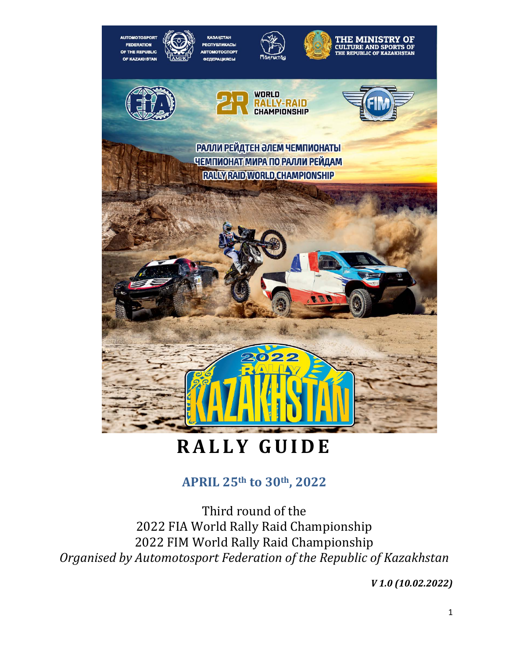

# **RALLY GUIDE**

# **APRIL 25th to 30th, 2022**

Third round of the 2022 FIA World Rally Raid Championship 2022 FIM World Rally Raid Championship *Organised by Automotosport Federation of the Republic of Kazakhstan* 

*V 1.0 (10.02.2022)*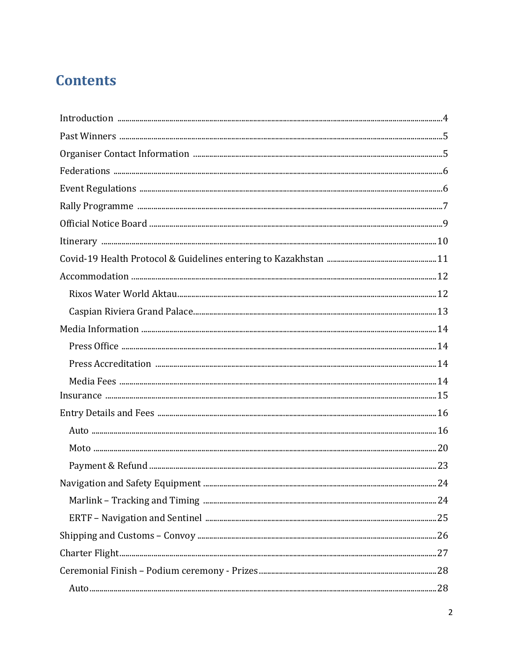# **Contents**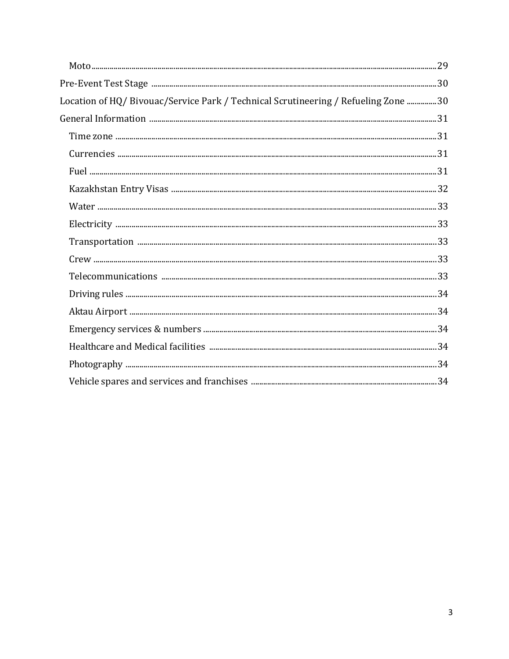| Location of HQ/Bivouac/Service Park / Technical Scrutineering / Refueling Zone 30 |  |
|-----------------------------------------------------------------------------------|--|
|                                                                                   |  |
|                                                                                   |  |
|                                                                                   |  |
|                                                                                   |  |
|                                                                                   |  |
|                                                                                   |  |
|                                                                                   |  |
|                                                                                   |  |
|                                                                                   |  |
|                                                                                   |  |
|                                                                                   |  |
|                                                                                   |  |
|                                                                                   |  |
|                                                                                   |  |
|                                                                                   |  |
|                                                                                   |  |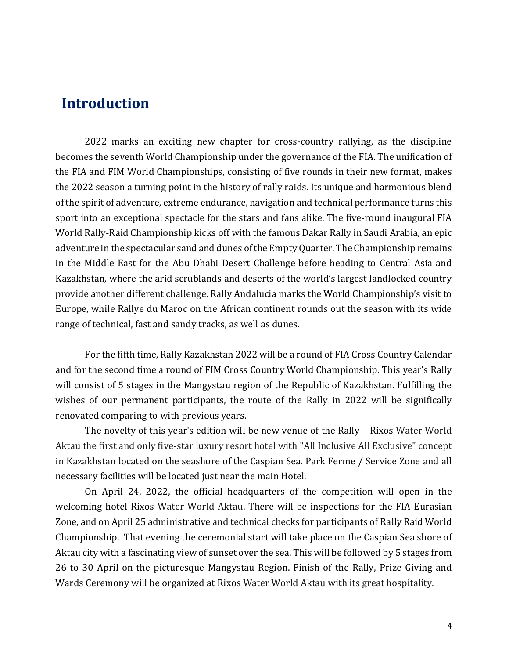# **Introduction**

2022 marks an exciting new chapter for cross-country rallying, as the discipline becomes the seventh World Championship under the governance of the FIA. The unification of the FIA and FIM World Championships, consisting of five rounds in their new format, makes the 2022 season a turning point in the history of rally raids. Its unique and harmonious blend of the spirit of adventure, extreme endurance, navigation and technical performance turns this sport into an exceptional spectacle for the stars and fans alike. The five-round inaugural FIA World Rally-Raid Championship kicks off with the famous Dakar Rally in Saudi Arabia, an epic adventure in the spectacular sand and dunes of the Empty Quarter. The Championship remains in the Middle East for the Abu Dhabi Desert Challenge before heading to Central Asia and Kazakhstan, where the arid scrublands and deserts of the world's largest landlocked country provide another different challenge. Rally Andalucia marks the World Championship's visit to Europe, while Rallye du Maroc on the African continent rounds out the season with its wide range of technical, fast and sandy tracks, as well as dunes.

For the fifth time, Rally Kazakhstan 2022 will be a round of FIA Cross Country Calendar and for the second time a round of FIM Cross Country World Championship. This year's Rally will consist of 5 stages in the Mangystau region of the Republic of Kazakhstan. Fulfilling the wishes of our permanent participants, the route of the Rally in 2022 will be significally renovated comparing to with previous years.

The novelty of this year's edition will be new venue of the Rally – Rixos Water World Aktau the first and only five-star luxury resort hotel with "All Inclusive All Exclusive" concept in Kazakhstan located on the seashore of the Caspian Sea. Park Ferme / Service Zone and all necessary facilities will be located just near the main Hotel.

On April 24, 2022, the official headquarters of the competition will open in the welcoming hotel Rixos Water World Aktau. There will be inspections for the FIA Eurasian Zone, and on April 25 administrative and technical checks for participants of Rally Raid World Championship. That evening the ceremonial start will take place on the Caspian Sea shore of Aktau city with a fascinating view of sunset over the sea. This will be followed by 5 stages from 26 to 30 April on the picturesque Mangystau Region. Finish of the Rally, Prize Giving and Wards Ceremony will be organized at Rixos Water World Aktau with its great hospitality.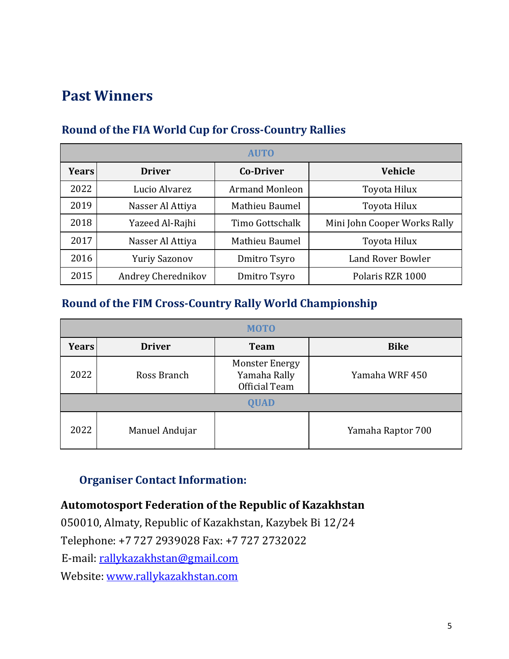# **Past Winners**

| <b>AUTO</b>  |                      |                       |                              |  |
|--------------|----------------------|-----------------------|------------------------------|--|
| <b>Years</b> | <b>Driver</b>        | <b>Co-Driver</b>      | <b>Vehicle</b>               |  |
| 2022         | Lucio Alvarez        | <b>Armand Monleon</b> | Toyota Hilux                 |  |
| 2019         | Nasser Al Attiya     | Mathieu Baumel        | Toyota Hilux                 |  |
| 2018         | Yazeed Al-Rajhi      | Timo Gottschalk       | Mini John Cooper Works Rally |  |
| 2017         | Nasser Al Attiya     | Mathieu Baumel        | Toyota Hilux                 |  |
| 2016         | <b>Yuriy Sazonov</b> | Dmitro Tsyro          | Land Rover Bowler            |  |
| 2015         | Andrey Cherednikov   | Dmitro Tsyro          | Polaris RZR 1000             |  |

# **Round of the FIA World Cup for Cross-Country Rallies**

# **Round of the FIM Cross-Country Rally World Championship**

| <b>MOTO</b>  |                |                                                        |                   |  |
|--------------|----------------|--------------------------------------------------------|-------------------|--|
| <b>Years</b> | <b>Driver</b>  | <b>Team</b>                                            | <b>Bike</b>       |  |
| 2022         | Ross Branch    | <b>Monster Energy</b><br>Yamaha Rally<br>Official Team | Yamaha WRF 450    |  |
|              |                | <b>QUAD</b>                                            |                   |  |
| 2022         | Manuel Andujar |                                                        | Yamaha Raptor 700 |  |

# **Organiser Contact Information:**

# **Automotosport Federation of the Republic of Kazakhstan**

050010, Almaty, Republic of Kazakhstan, Kazybek Bi 12/24 Telephone: +7 727 2939028 Fax: +7 727 2732022

E-mail: rallykazakhstan@gmail.com

Website: [www.rallykazakhstan.com](http://www.rallykazakhstan.com/)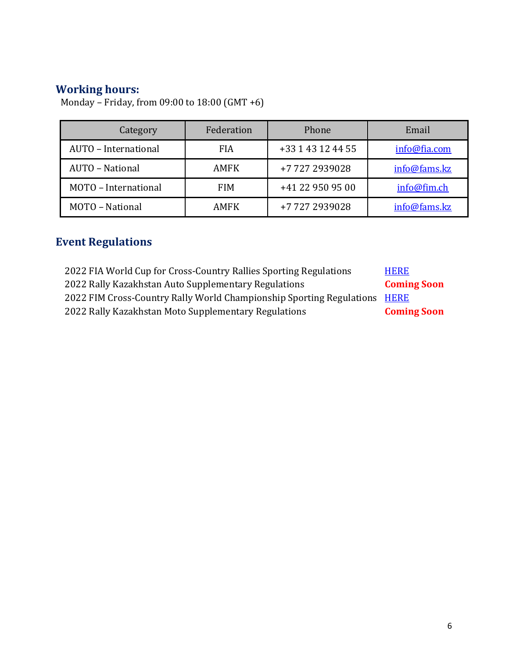## **Working hours:**

| Category             | Federation  | Phone             | Email        |
|----------------------|-------------|-------------------|--------------|
| AUTO - International | <b>FIA</b>  | +33 1 43 12 44 55 | info@fia.com |
| AUTO - National      | <b>AMFK</b> | +77272939028      | info@fams.kz |
| MOTO - International | <b>FIM</b>  | +41 22 950 95 00  | info@fim.ch  |
| MOTO - National      | <b>AMFK</b> | +77272939028      | info@fams.kz |

Monday – Friday, from 09:00 to 18:00 (GMT +6)

# **Event Regulations**

| 2022 FIA World Cup for Cross-Country Rallies Sporting Regulations         | <b>HERE</b>        |
|---------------------------------------------------------------------------|--------------------|
| 2022 Rally Kazakhstan Auto Supplementary Regulations                      | <b>Coming Soon</b> |
| 2022 FIM Cross-Country Rally World Championship Sporting Regulations HERE |                    |
| 2022 Rally Kazakhstan Moto Supplementary Regulations                      | <b>Coming Soon</b> |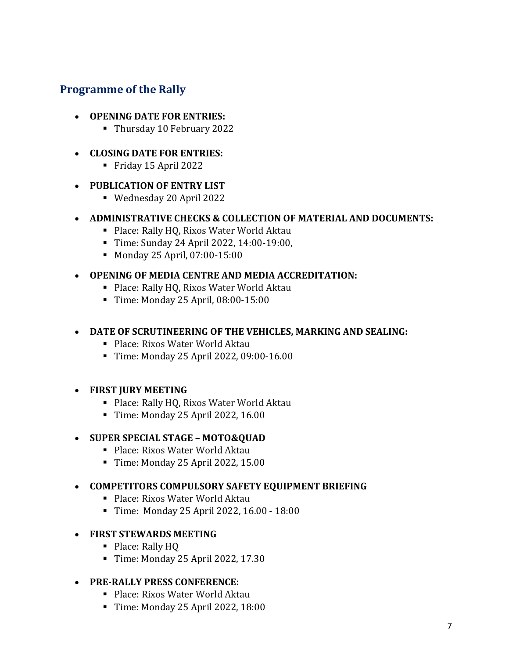# **Programme of the Rally**

#### • **OPENING DATE FOR ENTRIES:**

- Thursday 10 February 2022
- **CLOSING DATE FOR ENTRIES:**
	- Friday 15 April 2022

#### • **PUBLICATION OF ENTRY LIST**

- Wednesday 20 April 2022
- **ADMINISTRATIVE CHECKS & COLLECTION OF MATERIAL AND DOCUMENTS:**
	- Place: Rally HQ, Rixos Water World Aktau
	- Time: Sunday 24 April 2022, 14:00-19:00,
	- Monday 25 April, 07:00-15:00

#### • **OPENING OF MEDIA CENTRE AND MEDIA ACCREDITATION:**

- Place: Rally HQ, Rixos Water World Aktau
- Time: Monday 25 April, 08:00-15:00

### • **DATE OF SCRUTINEERING OF THE VEHICLES, MARKING AND SEALING:**

- Place: Rixos Water World Aktau
- Time: Monday 25 April 2022, 09:00-16.00

### • **FIRST JURY MEETING**

- Place: Rally HQ, Rixos Water World Aktau
- Time: Monday 25 April 2022, 16.00

#### • **SUPER SPECIAL STAGE – MOTO&QUAD**

- Place: Rixos Water World Aktau
- Time: Monday 25 April 2022, 15.00

#### • **COMPETITORS COMPULSORY SAFETY EQUIPMENT BRIEFING**

- Place: Rixos Water World Aktau
- Time: Monday 25 April 2022, 16.00 18:00

### • **FIRST STEWARDS MEETING**

- Place: Rally HQ
- Time: Monday 25 April 2022, 17.30

### • **PRE-RALLY PRESS CONFERENCE:**

- Place: Rixos Water World Aktau
- Time: Monday 25 April 2022, 18:00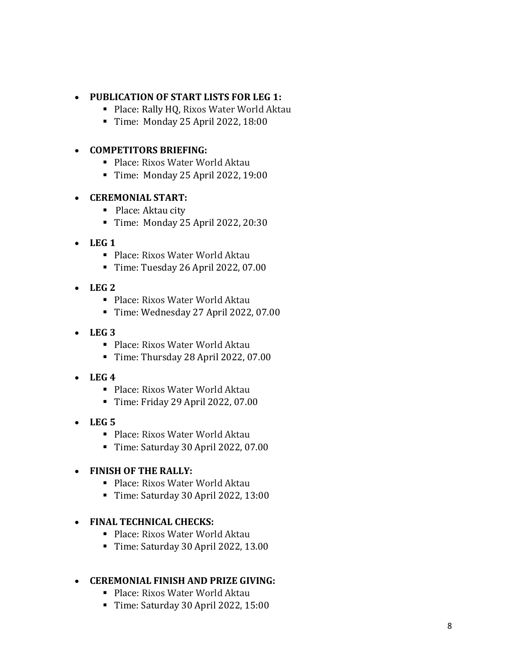#### • **PUBLICATION OF START LISTS FOR LEG 1:**

- **Place: Rally HQ, Rixos Water World Aktau**
- Time: Monday 25 April 2022, 18:00

#### • **COMPETITORS BRIEFING:**

- Place: Rixos Water World Aktau
- Time: Monday 25 April 2022, 19:00

#### • **CEREMONIAL START:**

- Place: Aktau city
- Time: Monday 25 April 2022, 20:30
- **LEG 1**
	- Place: Rixos Water World Aktau
	- Time: Tuesday 26 April 2022, 07.00
- **LEG 2**
	- Place: Rixos Water World Aktau
	- Time: Wednesday 27 April 2022, 07.00
- **LEG 3**
	- Place: Rixos Water World Aktau
	- Time: Thursday 28 April 2022, 07.00
- **LEG 4**
	- Place: Rixos Water World Aktau
	- Time: Friday 29 April 2022, 07.00
- **LEG 5**
	- Place: Rixos Water World Aktau
	- Time: Saturday 30 April 2022, 07.00

### • **FINISH OF THE RALLY:**

- Place: Rixos Water World Aktau
- Time: Saturday 30 April 2022, 13:00

#### • **FINAL TECHNICAL CHECKS:**

- Place: Rixos Water World Aktau
- Time: Saturday 30 April 2022, 13.00

### • **CEREMONIAL FINISH AND PRIZE GIVING:**

- Place: Rixos Water World Aktau
- Time: Saturday 30 April 2022, 15:00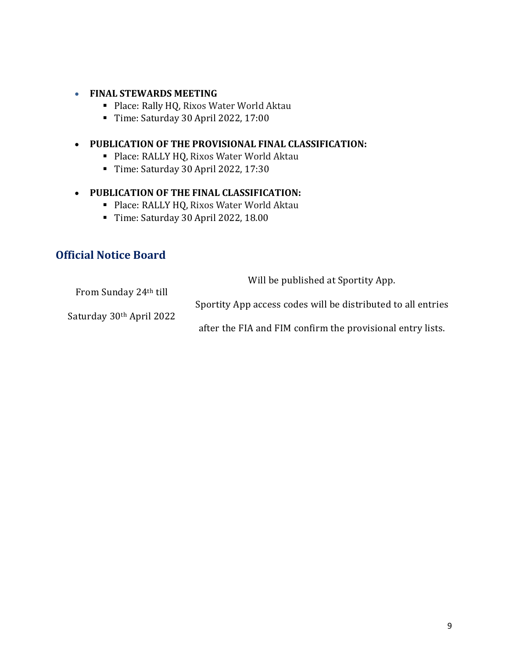#### • **FINAL STEWARDS MEETING**

- Place: Rally HQ, Rixos Water World Aktau
- Time: Saturday 30 April 2022, 17:00

#### • **PUBLICATION OF THE PROVISIONAL FINAL CLASSIFICATION:**

- Place: RALLY HQ, Rixos Water World Aktau
- Time: Saturday 30 April 2022, 17:30

#### • **PUBLICATION OF THE FINAL CLASSIFICATION:**

- Place: RALLY HQ, Rixos Water World Aktau
- Time: Saturday 30 April 2022, 18.00

# **Official Notice Board**

Will be published at Sportity App.

From Sunday 24th till Saturday 30th April 2022 Sportity App access codes will be distributed to all entries after the FIA and FIM confirm the provisional entry lists.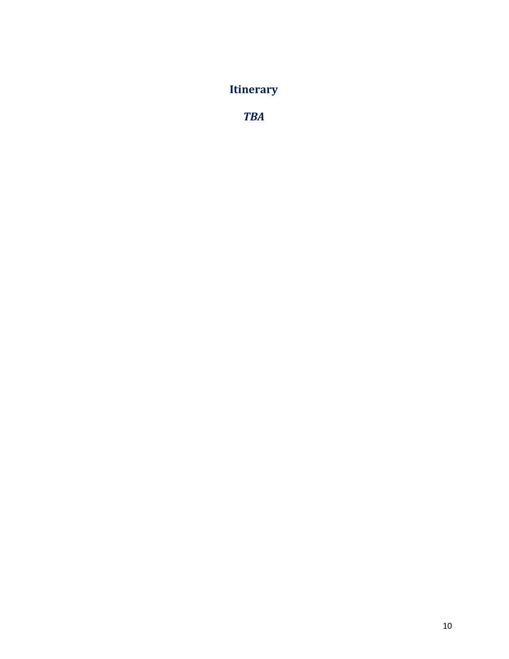# **Itinerary**

*TBA*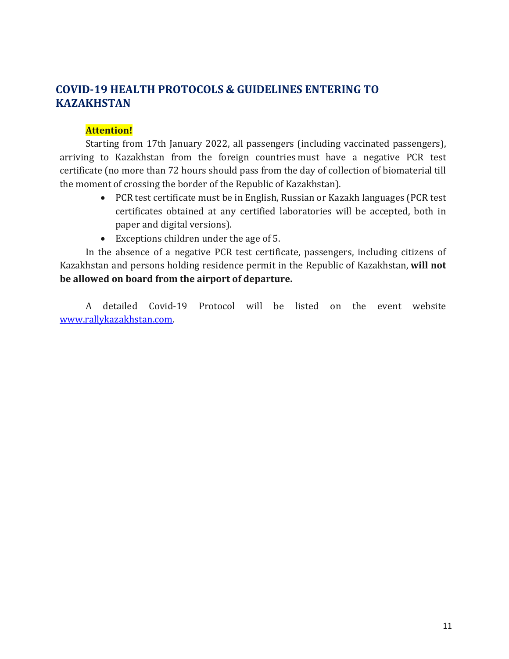# **COVID-19 HEALTH PROTOCOLS & GUIDELINES ENTERING TO KAZAKHSTAN**

#### **Attention!**

Starting from 17th January 2022, all passengers (including vaccinated passengers), arriving to Kazakhstan from the foreign countries must have a negative PCR test certificate (no more than 72 hours should pass from the day of collection of biomaterial till the moment of crossing the border of the Republic of Kazakhstan).

- PCR test certificate must be in English, Russian or Kazakh languages (PCR test certificates obtained at any certified laboratories will be accepted, both in paper and digital versions).
- Exceptions children under the age of 5.

In the absence of a negative PCR test certificate, passengers, including citizens of Kazakhstan and persons holding residence permit in the Republic of Kazakhstan, **will not be allowed on board from the airport of departure.**

A detailed Covid-19 Protocol will be listed on the event website [www.rallykazakhstan.com.](http://www.rallykazakhstan.com/)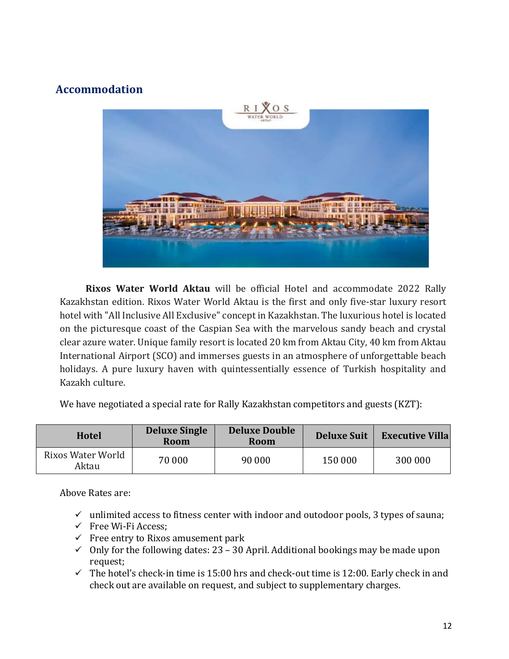# **Accommodation**



**Rixos Water World Aktau** will be official Hotel and accommodate 2022 Rally Kazakhstan edition. Rixos Water World Aktau is the first and only five-star luxury resort hotel with "All Inclusive All Exclusive" concept in Kazakhstan. The luxurious hotel is located on the picturesque coast of the Caspian Sea with the marvelous sandy beach and crystal clear azure water. Unique family resort is located 20 km from Aktau City, 40 km from Aktau International Airport (SCO) and immerses guests in an atmosphere of unforgettable beach holidays. A pure luxury haven with quintessentially essence of Turkish hospitality and Kazakh culture.

We have negotiated a special rate for Rally Kazakhstan competitors and guests (KZT):

| <b>Hotel</b>               | <b>Deluxe Single</b><br>Room | <b>Deluxe Double</b><br><b>Room</b> | <b>Deluxe Suit</b> | <b>Executive Villa</b> |
|----------------------------|------------------------------|-------------------------------------|--------------------|------------------------|
| Rixos Water World<br>Aktau | 70 000                       | 90 000                              | 150 000            | 300 000                |

Above Rates are:

- $\checkmark$  unlimited access to fitness center with indoor and outodoor pools, 3 types of sauna;
- $\checkmark$  Free Wi-Fi Access;
- $\checkmark$  Free entry to Rixos amusement park
- $\checkmark$  Only for the following dates: 23 30 April. Additional bookings may be made upon request;
- $\checkmark$  The hotel's check-in time is 15:00 hrs and check-out time is 12:00. Early check in and check out are available on request, and subject to supplementary charges.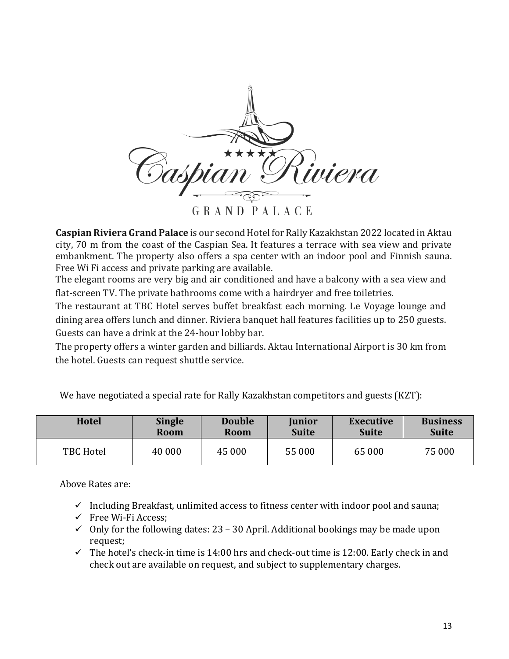

**Caspian Riviera Grand Palace** is our second Hotel for Rally Kazakhstan 2022 located in Aktau city, 70 m from the coast of the Caspian Sea. It features a terrace with sea view and private embankment. The property also offers a spa center with an indoor pool and Finnish sauna. Free Wi Fi access and private parking are available.

The elegant rooms are very big and air conditioned and have a balcony with a sea view and flat-screen TV. The private bathrooms come with a hairdryer and free toiletries.

The restaurant at TBC Hotel serves buffet breakfast each morning. Le Voyage lounge and dining area offers lunch and dinner. Riviera banquet hall features facilities up to 250 guests. Guests can have a drink at the 24-hour lobby bar.

The property offers a winter garden and billiards. Aktau International Airport is 30 km from the hotel. Guests can request shuttle service.

| <b>Hotel</b>     | <b>Single</b> | <b>Double</b> | <b>Junior</b> | Executive    | <b>Business</b> |
|------------------|---------------|---------------|---------------|--------------|-----------------|
|                  | <b>Room</b>   | <b>Room</b>   | <b>Suite</b>  | <b>Suite</b> | <b>Suite</b>    |
| <b>TBC Hotel</b> | 40 000        | 45 000        | 55 000        | 65 000       | 75 000          |

We have negotiated a special rate for Rally Kazakhstan competitors and guests (KZT):

Above Rates are:

- $\checkmark$  Including Breakfast, unlimited access to fitness center with indoor pool and sauna;
- $\checkmark$  Free Wi-Fi Access;
- $\checkmark$  Only for the following dates: 23 30 April. Additional bookings may be made upon request;
- $\checkmark$  The hotel's check-in time is 14:00 hrs and check-out time is 12:00. Early check in and check out are available on request, and subject to supplementary charges.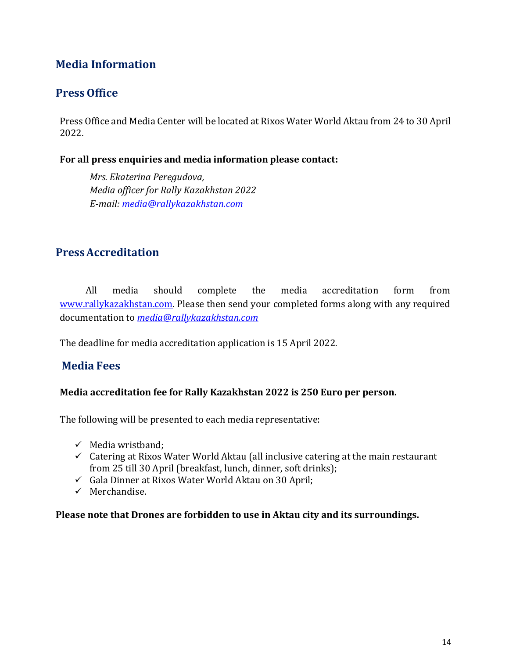# **Media Information**

# **Press Office**

Press Office and Media Center will be located at Rixos Water World Aktau from 24 to 30 April 2022.

#### **For all press enquiries and media information please contact:**

*Mrs. Ekaterina Peregudova, Media officer for Rally Kazakhstan 2022 E-mail: [media@rallykazakhstan.com](mailto:media@rallykazakhstan.com)*

# **PressAccreditation**

All media should complete the media accreditation form from [www.rallykazakhstan.com.](http://www.rallykazakhstan.com/) Please then send your completed forms along with any required documentation to *[media@rallykazakhstan.com](mailto:media@rallykazakhstan.com)*

The deadline for media accreditation application is 15 April 2022.

# **Media Fees**

#### **Media accreditation fee for Rally Kazakhstan 2022 is 250 Euro per person.**

The following will be presented to each media representative:

- $\checkmark$  Media wristband:
- $\checkmark$  Catering at Rixos Water World Aktau (all inclusive catering at the main restaurant from 25 till 30 April (breakfast, lunch, dinner, soft drinks);
- $\checkmark$  Gala Dinner at Rixos Water World Aktau on 30 April;
- $\checkmark$  Merchandise.

#### **Please note that Drones are forbidden to use in Aktau city and its surroundings.**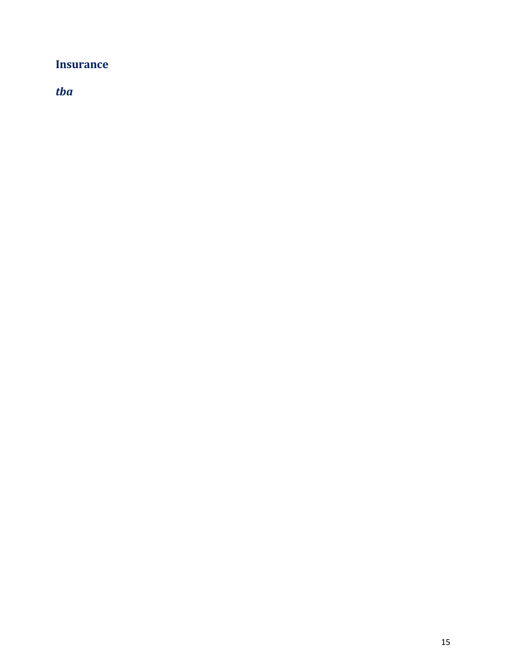# **Insurance**

*tba*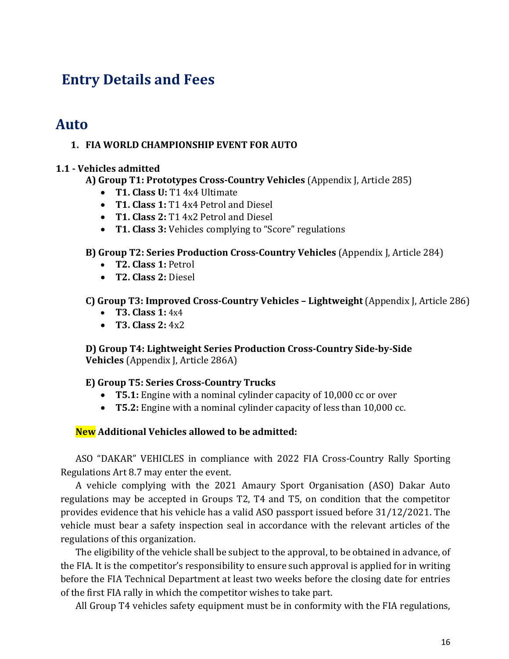# **Entry Details and Fees**

# **Auto**

#### **1. FIA WORLD CHAMPIONSHIP EVENT FOR AUTO**

#### **1.1 - Vehicles admitted**

#### **A) Group T1: Prototypes Cross-Country Vehicles** (Appendix J, Article 285)

- **T1. Class U:** T1 4x4 Ultimate
- **T1. Class 1:** T1 4x4 Petrol and Diesel
- **T1. Class 2:** T1 4x2 Petrol and Diesel
- **T1. Class 3:** Vehicles complying to "Score" regulations

#### **B) Group T2: Series Production Cross-Country Vehicles** (Appendix J, Article 284)

- **T2. Class 1:** Petrol
- **T2. Class 2:** Diesel

#### **C) Group T3: Improved Cross-Country Vehicles – Lightweight** (Appendix J, Article 286)

- **T3. Class 1:** 4x4
- **T3. Class 2:** 4x2

**D) Group T4: Lightweight Series Production Cross-Country Side-by-Side Vehicles** (Appendix J, Article 286A)

#### **E) Group T5: Series Cross-Country Trucks**

- **T5.1:** Engine with a nominal cylinder capacity of 10,000 cc or over
- **T5.2:** Engine with a nominal cylinder capacity of less than 10,000 cc.

### **New Additional Vehicles allowed to be admitted:**

ASO "DAKAR" VEHICLES in compliance with 2022 FIA Cross-Country Rally Sporting Regulations Art 8.7 may enter the event.

A vehicle complying with the 2021 Amaury Sport Organisation (ASO) Dakar Auto regulations may be accepted in Groups T2, T4 and T5, on condition that the competitor provides evidence that his vehicle has a valid ASO passport issued before 31/12/2021. The vehicle must bear a safety inspection seal in accordance with the relevant articles of the regulations of this organization.

The eligibility of the vehicle shall be subject to the approval, to be obtained in advance, of the FIA. It is the competitor's responsibility to ensure such approval is applied for in writing before the FIA Technical Department at least two weeks before the closing date for entries of the first FIA rally in which the competitor wishes to take part.

All Group T4 vehicles safety equipment must be in conformity with the FIA regulations,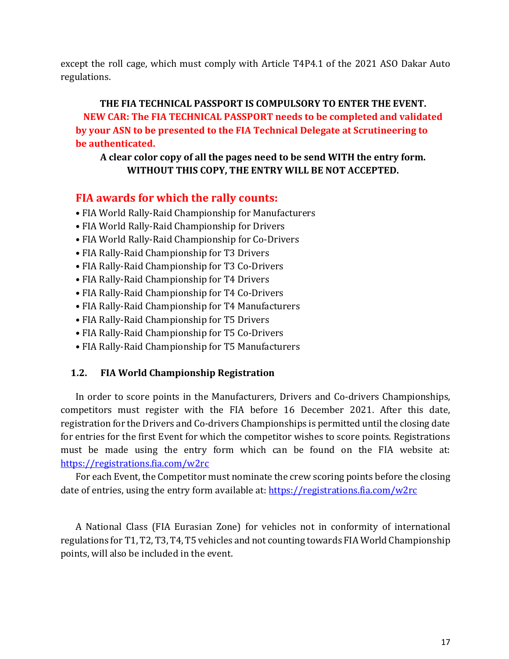except the roll cage, which must comply with Article T4P4.1 of the 2021 ASO Dakar Auto regulations.

# **THE FIA TECHNICAL PASSPORT IS COMPULSORY TO ENTER THE EVENT. NEW CAR: The FIA TECHNICAL PASSPORT needs to be completed and validated by your ASN to be presented to the FIA Technical Delegate at Scrutineering to be authenticated.**

#### **A clear color copy of all the pages need to be send WITH the entry form. WITHOUT THIS COPY, THE ENTRY WILL BE NOT ACCEPTED.**

## **FIA awards for which the rally counts:**

- FIA World Rally-Raid Championship for Manufacturers
- FIA World Rally-Raid Championship for Drivers
- FIA World Rally-Raid Championship for Co-Drivers
- FIA Rally-Raid Championship for T3 Drivers
- FIA Rally-Raid Championship for T3 Co-Drivers
- FIA Rally-Raid Championship for T4 Drivers
- FIA Rally-Raid Championship for T4 Co-Drivers
- FIA Rally-Raid Championship for T4 Manufacturers
- FIA Rally-Raid Championship for T5 Drivers
- FIA Rally-Raid Championship for T5 Co-Drivers
- FIA Rally-Raid Championship for T5 Manufacturers

### **1.2. FIA World Championship Registration**

In order to score points in the Manufacturers, Drivers and Co-drivers Championships, competitors must register with the FIA before 16 December 2021. After this date, registration for the Drivers and Co-drivers Championships is permitted until the closing date for entries for the first Event for which the competitor wishes to score points. Registrations must be made using the entry form which can be found on the FIA website at: <https://registrations.fia.com/w2rc>

For each Event, the Competitor must nominate the crew scoring points before the closing date of entries, using the entry form available at:<https://registrations.fia.com/w2rc>

A National Class (FIA Eurasian Zone) for vehicles not in conformity of international regulations for T1, T2, T3, T4, T5 vehicles and not counting towards FIA World Championship points, will also be included in the event.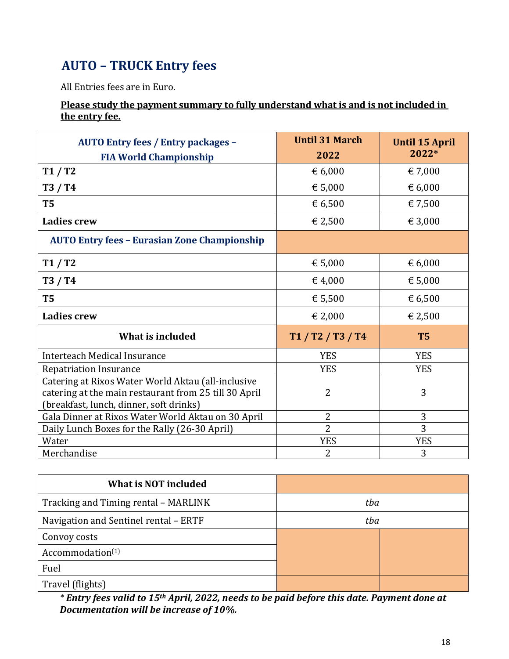# **AUTO – TRUCK Entry fees**

All Entries fees are in Euro.

### **Please study the payment summary to fully understand what is and is not included in the entry fee.**

| <b>AUTO Entry fees / Entry packages -</b><br><b>FIA World Championship</b>                                                                             | <b>Until 31 March</b><br>2022 | <b>Until 15 April</b><br>2022* |
|--------------------------------------------------------------------------------------------------------------------------------------------------------|-------------------------------|--------------------------------|
| T1/T2                                                                                                                                                  | € 6,000                       | € 7,000                        |
| T3 / T4                                                                                                                                                | € 5,000                       | € 6,000                        |
| <b>T5</b>                                                                                                                                              | € 6,500                       | € 7,500                        |
| <b>Ladies crew</b>                                                                                                                                     | € 2,500                       | € 3,000                        |
| <b>AUTO Entry fees - Eurasian Zone Championship</b>                                                                                                    |                               |                                |
| T1/T2                                                                                                                                                  | € 5,000                       | € 6,000                        |
| T3 / T4                                                                                                                                                | € 4,000                       | € 5,000                        |
| T <sub>5</sub>                                                                                                                                         | € 5,500                       | € 6,500                        |
| <b>Ladies crew</b>                                                                                                                                     | € 2,000                       | € 2,500                        |
| What is included                                                                                                                                       | T1 / T2 / T3 / T4             | <b>T5</b>                      |
| Interteach Medical Insurance                                                                                                                           | <b>YES</b>                    | <b>YES</b>                     |
| <b>Repatriation Insurance</b>                                                                                                                          | <b>YES</b>                    | <b>YES</b>                     |
| Catering at Rixos Water World Aktau (all-inclusive<br>catering at the main restaurant from 25 till 30 April<br>(breakfast, lunch, dinner, soft drinks) | $\overline{2}$                | 3                              |
| Gala Dinner at Rixos Water World Aktau on 30 April                                                                                                     | $\overline{2}$                | 3                              |
| Daily Lunch Boxes for the Rally (26-30 April)                                                                                                          | $\overline{2}$                | 3                              |
| Water                                                                                                                                                  | <b>YES</b>                    | <b>YES</b>                     |
| Merchandise                                                                                                                                            | $\overline{2}$                | 3                              |

| <b>What is NOT included</b>           |     |  |
|---------------------------------------|-----|--|
| Tracking and Timing rental - MARLINK  | tba |  |
| Navigation and Sentinel rental - ERTF | tba |  |
| Convoy costs                          |     |  |
| Accommodation <sup>(1)</sup>          |     |  |
| Fuel                                  |     |  |
| Travel (flights)                      |     |  |

*\* Entry fees valid to 15th April, 2022, needs to be paid before this date. Payment done at Documentation will be increase of 10%.*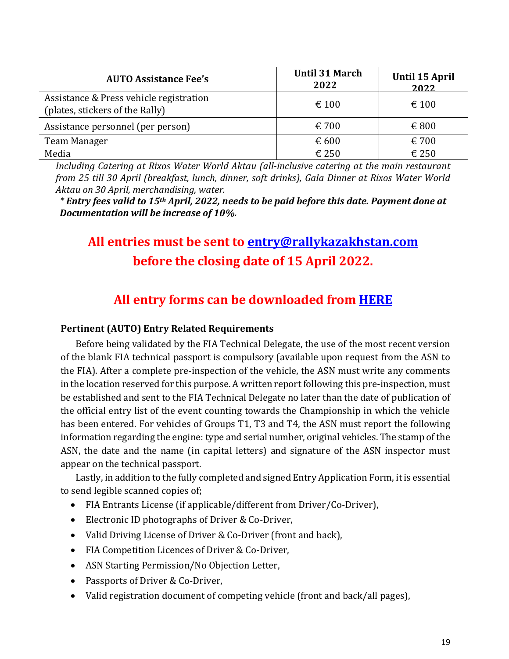| <b>AUTO Assistance Fee's</b>                                               | <b>Until 31 March</b><br>2022 | Until 15 April<br>2022 |
|----------------------------------------------------------------------------|-------------------------------|------------------------|
| Assistance & Press vehicle registration<br>(plates, stickers of the Rally) | $\epsilon$ 100                | $\epsilon$ 100         |
| Assistance personnel (per person)                                          | $\epsilon$ 700                | $\epsilon$ 800         |
| Team Manager                                                               | € 600                         | $\epsilon$ 700         |
| Media                                                                      | € 250                         | $\epsilon$ 250         |

*Including Catering at Rixos Water World Aktau (all-inclusive catering at the main restaurant from 25 till 30 April (breakfast, lunch, dinner, soft drinks), Gala Dinner at Rixos Water World Aktau on 30 April, merchandising, water.*

*\* Entry fees valid to 15th April, 2022, needs to be paid before this date. Payment done at Documentation will be increase of 10%.*

# **All entries must be sent to [entry@rallykazakhstan.com](mailto:entry@rallykazakhstan.com) before the closing date of 15 April 2022.**

# **All entry forms can be downloaded from [HERE](http://rallykazakhstan.com/en/index.php)**

### **Pertinent (AUTO) Entry Related Requirements**

Before being validated by the FIA Technical Delegate, the use of the most recent version of the blank FIA technical passport is compulsory (available upon request from the ASN to the FIA). After a complete pre-inspection of the vehicle, the ASN must write any comments in the location reserved for this purpose. A written report following this pre-inspection, must be established and sent to the FIA Technical Delegate no later than the date of publication of the official entry list of the event counting towards the Championship in which the vehicle has been entered. For vehicles of Groups T1, T3 and T4, the ASN must report the following information regarding the engine: type and serial number, original vehicles. The stamp of the ASN, the date and the name (in capital letters) and signature of the ASN inspector must appear on the technical passport.

Lastly, in addition to the fully completed and signed Entry Application Form, it is essential to send legible scanned copies of;

- FIA Entrants License (if applicable/different from Driver/Co-Driver),
- Electronic ID photographs of Driver & Co-Driver,
- Valid Driving License of Driver & Co-Driver (front and back),
- FIA Competition Licences of Driver & Co-Driver,
- ASN Starting Permission/No Objection Letter,
- Passports of Driver & Co-Driver,
- Valid registration document of competing vehicle (front and back/all pages),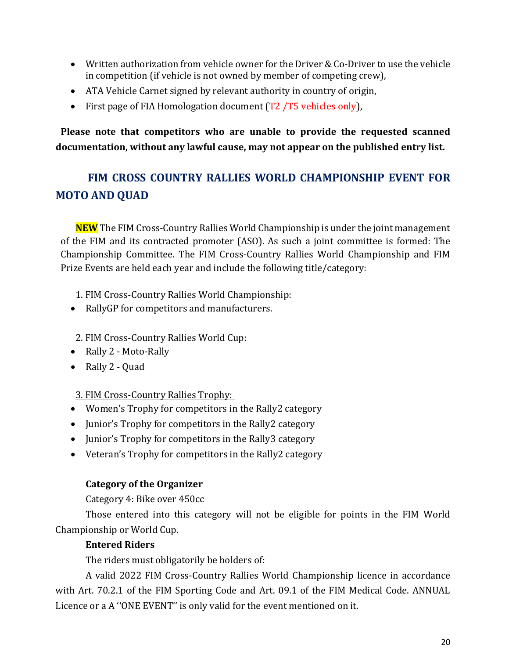- Written authorization from vehicle owner for the Driver & Co-Driver to use the vehicle in competition (if vehicle is not owned by member of competing crew),
- ATA Vehicle Carnet signed by relevant authority in country of origin,
- First page of FIA Homologation document (T2 /T5 vehicles only).

**Please note that competitors who are unable to provide the requested scanned documentation, without any lawful cause, may not appear on the published entry list.** 

# **FIM CROSS COUNTRY RALLIES WORLD CHAMPIONSHIP EVENT FOR MOTO AND QUAD**

**NEW** The FIM Cross-Country Rallies World Championship is under the joint management of the FIM and its contracted promoter (ASO). As such a joint committee is formed: The Championship Committee. The FIM Cross-Country Rallies World Championship and FIM Prize Events are held each year and include the following title/category:

1. FIM Cross-Country Rallies World Championship:

• RallyGP for competitors and manufacturers.

#### 2. FIM Cross-Country Rallies World Cup:

- Rally 2 Moto-Rally
- Rally 2 Quad

#### 3. FIM Cross-Country Rallies Trophy:

- Women's Trophy for competitors in the Rally2 category
- Junior's Trophy for competitors in the Rally2 category
- Junior's Trophy for competitors in the Rally3 category
- Veteran's Trophy for competitors in the Rally2 category

#### **Category of the Organizer**

Category 4: Bike over 450cc

Those entered into this category will not be eligible for points in the FIM World Championship or World Cup.

#### **Entered Riders**

The riders must obligatorily be holders of:

A valid 2022 FIM Cross-Country Rallies World Championship licence in accordance with Art. 70.2.1 of the FIM Sporting Code and Art. 09.1 of the FIM Medical Code. ANNUAL Licence or a A ''ONE EVENT'' is only valid for the event mentioned on it.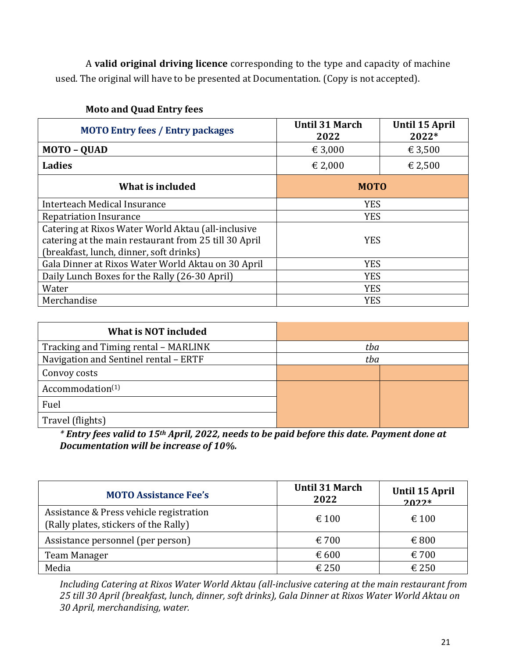A **valid original driving licence** corresponding to the type and capacity of machine used. The original will have to be presented at Documentation. (Copy is not accepted).

| <b>MOTO Entry fees / Entry packages</b>               | <b>Until 31 March</b><br>2022 | <b>Until 15 April</b><br>2022* |  |
|-------------------------------------------------------|-------------------------------|--------------------------------|--|
| <b>MOTO - QUAD</b>                                    | € 3,000                       | € 3,500                        |  |
| Ladies                                                | € 2,500<br>€ 2,000            |                                |  |
| What is included                                      | <b>MOTO</b>                   |                                |  |
| Interteach Medical Insurance                          | <b>YES</b>                    |                                |  |
| <b>Repatriation Insurance</b>                         | <b>YES</b>                    |                                |  |
| Catering at Rixos Water World Aktau (all-inclusive    |                               |                                |  |
| catering at the main restaurant from 25 till 30 April | <b>YES</b>                    |                                |  |
| (breakfast, lunch, dinner, soft drinks)               |                               |                                |  |
| Gala Dinner at Rixos Water World Aktau on 30 April    | <b>YES</b>                    |                                |  |
| Daily Lunch Boxes for the Rally (26-30 April)         | <b>YES</b>                    |                                |  |
| Water                                                 | <b>YES</b>                    |                                |  |
| Merchandise                                           | <b>YES</b>                    |                                |  |

## **Moto and Quad Entry fees**

| <b>What is NOT included</b>           |     |  |
|---------------------------------------|-----|--|
| Tracking and Timing rental - MARLINK  | tba |  |
| Navigation and Sentinel rental - ERTF | tba |  |
| Convoy costs                          |     |  |
| Accommodation <sup>(1)</sup>          |     |  |
| Fuel                                  |     |  |
| Travel (flights)                      |     |  |

*\* Entry fees valid to 15th April, 2022, needs to be paid before this date. Payment done at Documentation will be increase of 10%.*

| <b>MOTO Assistance Fee's</b>                                                     | <b>Until 31 March</b><br>2022 | Until 15 April<br>$2022*$ |
|----------------------------------------------------------------------------------|-------------------------------|---------------------------|
| Assistance & Press vehicle registration<br>(Rally plates, stickers of the Rally) | $\epsilon$ 100                | $\epsilon$ 100            |
| Assistance personnel (per person)                                                | $\epsilon$ 700                | $\epsilon$ 800            |
| Team Manager                                                                     | € 600                         | $\epsilon$ 700            |
| Media                                                                            | € 250                         | $\epsilon$ 250            |

*Including Catering at Rixos Water World Aktau (all-inclusive catering at the main restaurant from 25 till 30 April (breakfast, lunch, dinner, soft drinks), Gala Dinner at Rixos Water World Aktau on 30 April, merchandising, water.*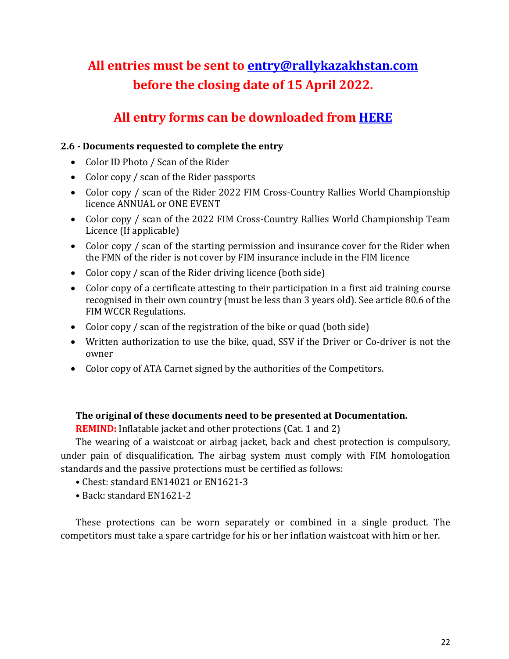# **All entries must be sent to [entry@rallykazakhstan.com](mailto:entry@rallykazakhstan.com) before the closing date of 15 April 2022.**

# **All entry forms can be downloaded from [HERE](http://rallykazakhstan.com/en/index.php)**

### **2.6 - Documents requested to complete the entry**

- Color ID Photo / Scan of the Rider
- Color copy / scan of the Rider passports
- Color copy / scan of the Rider 2022 FIM Cross-Country Rallies World Championship licence ANNUAL or ONE EVENT
- Color copy / scan of the 2022 FIM Cross-Country Rallies World Championship Team Licence (If applicable)
- Color copy / scan of the starting permission and insurance cover for the Rider when the FMN of the rider is not cover by FIM insurance include in the FIM licence
- Color copy / scan of the Rider driving licence (both side)
- Color copy of a certificate attesting to their participation in a first aid training course recognised in their own country (must be less than 3 years old). See article 80.6 of the FIM WCCR Regulations.
- Color copy / scan of the registration of the bike or quad (both side)
- Written authorization to use the bike, quad, SSV if the Driver or Co-driver is not the owner
- Color copy of ATA Carnet signed by the authorities of the Competitors.

### **The original of these documents need to be presented at Documentation.**

**REMIND:** Inflatable jacket and other protections (Cat. 1 and 2)

The wearing of a waistcoat or airbag jacket, back and chest protection is compulsory, under pain of disqualification. The airbag system must comply with FIM homologation standards and the passive protections must be certified as follows:

- Chest: standard EN14021 or EN1621-3
- Back: standard EN1621-2

These protections can be worn separately or combined in a single product. The competitors must take a spare cartridge for his or her inflation waistcoat with him or her.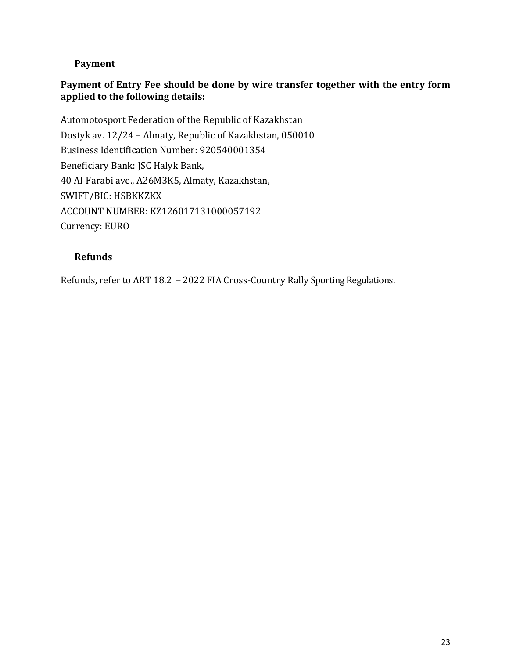## **Payment**

### **Payment of Entry Fee should be done by wire transfer together with the entry form applied to the following details:**

Automotosport Federation of the Republic of Kazakhstan Dostyk av. 12/24 – Almaty, Republic of Kazakhstan, 050010 Business Identification Number: 920540001354 Beneficiary Bank: JSC Halyk Bank, 40 Al-Farabi ave., А26M3K5, Almaty, Kazakhstan, SWIFT/BIC: HSBKKZKX ACCOUNT NUMBER: KZ126017131000057192 Currency: EURO

### **Refunds**

Refunds, refer to ART 18.2 – 2022 FIA Cross-Country Rally Sporting Regulations.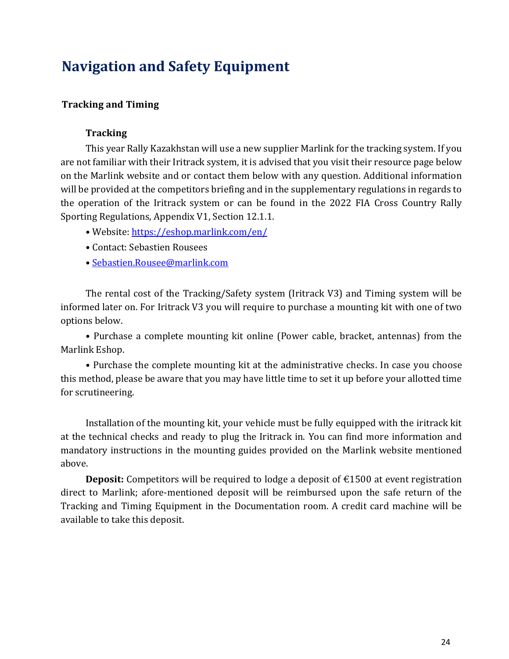# **Navigation and Safety Equipment**

#### **Tracking and Timing**

#### **Tracking**

This year Rally Kazakhstan will use a new supplier Marlink for the tracking system. If you are not familiar with their Iritrack system, it is advised that you visit their resource page below on the Marlink website and or contact them below with any question. Additional information will be provided at the competitors briefing and in the supplementary regulations in regards to the operation of the Iritrack system or can be found in the 2022 FIA Cross Country Rally Sporting Regulations, Appendix V1, Section 12.1.1.

- Website: <https://eshop.marlink.com/en/>
- Contact: Sebastien Rousees
- [Sebastien.Rousee@marlink.com](mailto:Sebastien.Rousee@marlink.com)

The rental cost of the Tracking/Safety system (Iritrack V3) and Timing system will be informed later on. For Iritrack V3 you will require to purchase a mounting kit with one of two options below.

• Purchase a complete mounting kit online (Power cable, bracket, antennas) from the Marlink Eshop.

• Purchase the complete mounting kit at the administrative checks. In case you choose this method, please be aware that you may have little time to set it up before your allotted time for scrutineering.

Installation of the mounting kit, your vehicle must be fully equipped with the iritrack kit at the technical checks and ready to plug the Iritrack in. You can find more information and mandatory instructions in the mounting guides provided on the Marlink website mentioned above.

**Deposit:** Competitors will be required to lodge a deposit of €1500 at event registration direct to Marlink; afore-mentioned deposit will be reimbursed upon the safe return of the Tracking and Timing Equipment in the Documentation room. A credit card machine will be available to take this deposit.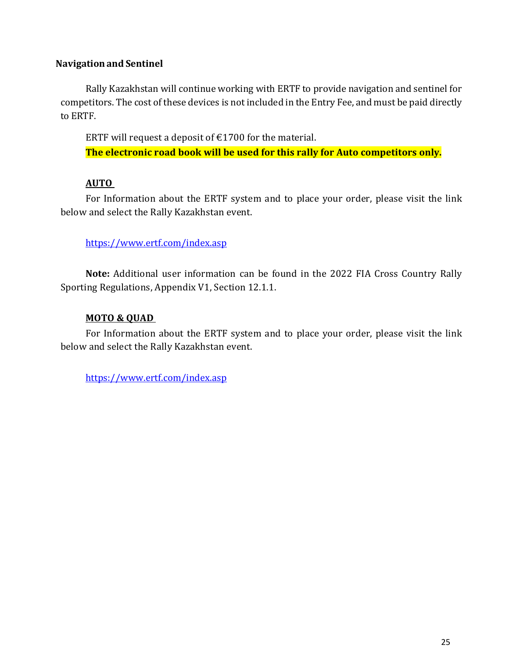#### **Navigationand Sentinel**

Rally Kazakhstan will continue working with ERTF to provide navigation and sentinel for competitors. The cost of these devices is not included in the Entry Fee, and must be paid directly to ERTF.

ERTF will request a deposit of  $£1700$  for the material.

**The electronic road book will be used for this rally for Auto competitors only.**

#### **AUTO**

For Information about the ERTF system and to place your order, please visit the link below and select the Rally Kazakhstan event.

#### <https://www.ertf.com/index.asp>

**Note:** Additional user information can be found in the 2022 FIA Cross Country Rally Sporting Regulations, Appendix V1, Section 12.1.1.

#### **MOTO & QUAD**

For Information about the ERTF system and to place your order, please visit the link below and select the Rally Kazakhstan event.

<https://www.ertf.com/index.asp>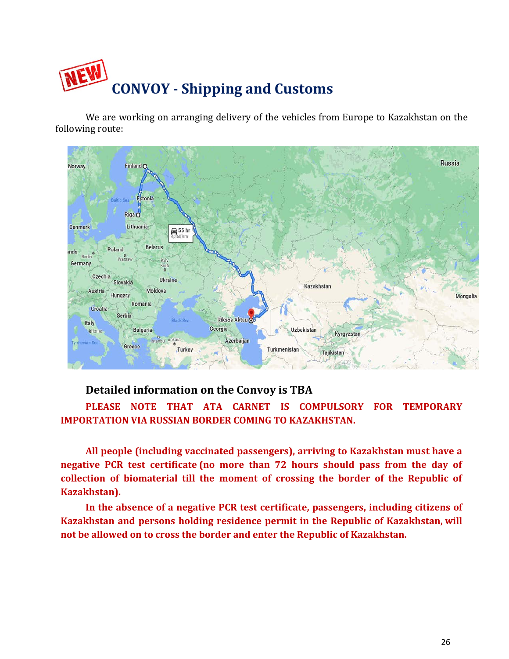

We are working on arranging delivery of the vehicles from Europe to Kazakhstan on the following route:



## **Detailed information on the Convoy is TBA**

**PLEASE NOTE THAT ATA CARNET IS COMPULSORY FOR TEMPORARY IMPORTATION VIA RUSSIAN BORDER COMING TO KAZAKHSTAN.** 

**All people (including vaccinated passengers), arriving to Kazakhstan must have a negative PCR test certificate (no more than 72 hours should pass from the day of collection of biomaterial till the moment of crossing the border of the Republic of Kazakhstan).**

**In the absence of a negative PCR test certificate, passengers, including citizens of Kazakhstan and persons holding residence permit in the Republic of Kazakhstan, will not be allowed on to cross the border and enter the Republic of Kazakhstan.**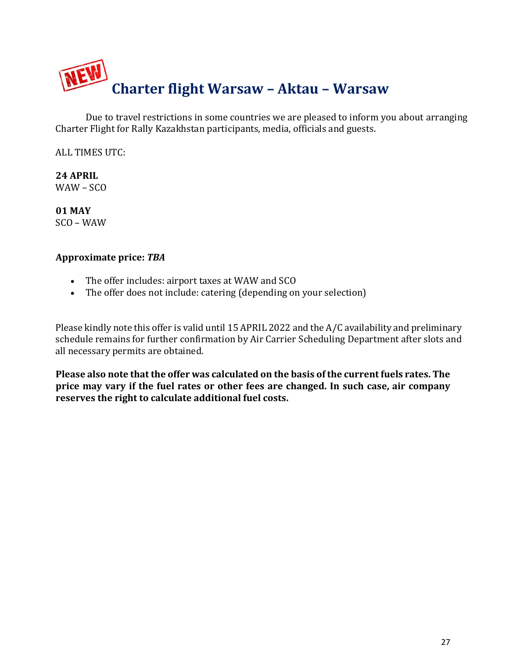

Due to travel restrictions in some countries we are pleased to inform you about arranging Charter Flight for Rally Kazakhstan participants, media, officials and guests.

ALL TIMES UTC:

**24 APRIL** WAW – SCO

**01 MAY** SCO – WAW

### **Approximate price:** *TBA*

- The offer includes: airport taxes at WAW and SCO
- The offer does not include: catering (depending on your selection)

Please kindly note this offer is valid until 15 APRIL 2022 and the A/C availability and preliminary schedule remains for further confirmation by Air Carrier Scheduling Department after slots and all necessary permits are obtained.

**Please also note that the offer was calculated on the basis of the current fuels rates. The price may vary if the fuel rates or other fees are changed. In such case, air company reserves the right to calculate additional fuel costs.**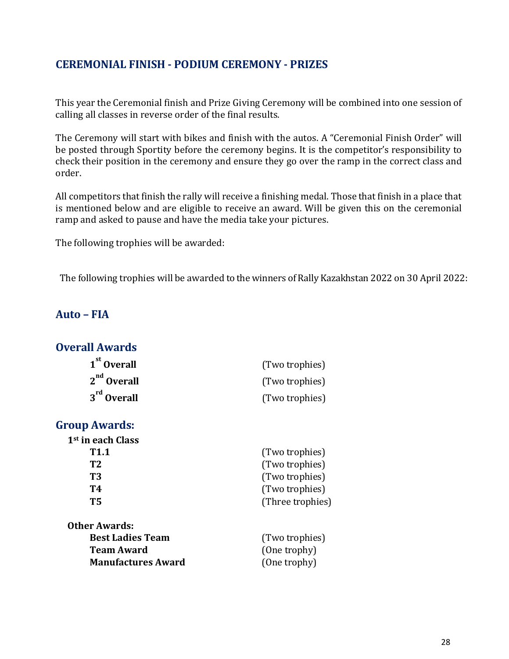## **CEREMONIAL FINISH - PODIUM CEREMONY - PRIZES**

This year the Ceremonial finish and Prize Giving Ceremony will be combined into one session of calling all classes in reverse order of the final results.

The Ceremony will start with bikes and finish with the autos. A "Ceremonial Finish Order" will be posted through Sportity before the ceremony begins. It is the competitor's responsibility to check their position in the ceremony and ensure they go over the ramp in the correct class and order.

All competitors that finish the rally will receive a finishing medal. Those that finish in a place that is mentioned below and are eligible to receive an award. Will be given this on the ceremonial ramp and asked to pause and have the media take your pictures.

The following trophies will be awarded:

The following trophies will be awarded to the winners of Rally Kazakhstan 2022 on 30 April 2022:

# **Auto – FIA**

## **Overall Awards**

| 1 <sup>st</sup> Overall | (Two trophies) |
|-------------------------|----------------|
| $2nd$ Overall           | (Two trophies) |
| $3rd$ Overall           | (Two trophies) |

### **Group Awards:**

| 1 <sup>st</sup> in each Class |                  |
|-------------------------------|------------------|
| T <sub>1.1</sub>              | (Two trophies)   |
| T <sub>2</sub>                | (Two trophies)   |
| T <sub>3</sub>                | (Two trophies)   |
| T4                            | (Two trophies)   |
| T <sub>5</sub>                | (Three trophies) |
| <b>Other Awards:</b>          |                  |
| <b>Best Ladies Team</b>       | (Two trophies)   |
| <b>Team Award</b>             | (One trophy)     |
| <b>Manufactures Award</b>     | (One trophy)     |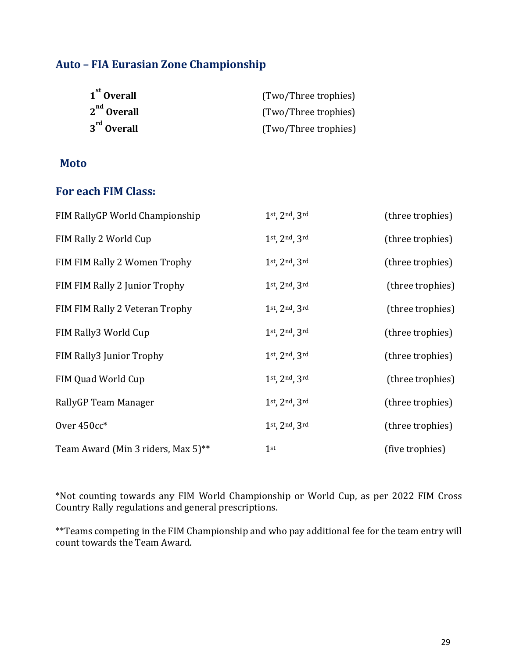# **Auto – FIA Eurasian Zone Championship**

| 1 <sup>st</sup> Overall | (Two/Three trophies) |
|-------------------------|----------------------|
| $2nd$ Overall           | (Two/Three trophies) |
| $3rd$ Overall           | (Two/Three trophies) |

## **Moto**

## **For each FIM Class:**

| FIM RallyGP World Championship     | 1st, 2nd, 3rd   | (three trophies) |
|------------------------------------|-----------------|------------------|
| FIM Rally 2 World Cup              | 1st, 2nd, 3rd   | (three trophies) |
| FIM FIM Rally 2 Women Trophy       | 1st, 2nd, 3rd   | (three trophies) |
| FIM FIM Rally 2 Junior Trophy      | 1st, 2nd, 3rd   | (three trophies) |
| FIM FIM Rally 2 Veteran Trophy     | 1st, 2nd, 3rd   | (three trophies) |
| FIM Rally3 World Cup               | 1st, 2nd, 3rd   | (three trophies) |
| FIM Rally3 Junior Trophy           | 1st, 2nd, 3rd   | (three trophies) |
| FIM Quad World Cup                 | 1st, 2nd, 3rd   | (three trophies) |
| RallyGP Team Manager               | 1st, 2nd, 3rd   | (three trophies) |
| Over 450cc*                        | 1st, 2nd, 3rd   | (three trophies) |
| Team Award (Min 3 riders, Max 5)** | 1 <sup>st</sup> | (five trophies)  |

\*Not counting towards any FIM World Championship or World Cup, as per 2022 FIM Cross Country Rally regulations and general prescriptions.

\*\*Teams competing in the FIM Championship and who pay additional fee for the team entry will count towards the Team Award.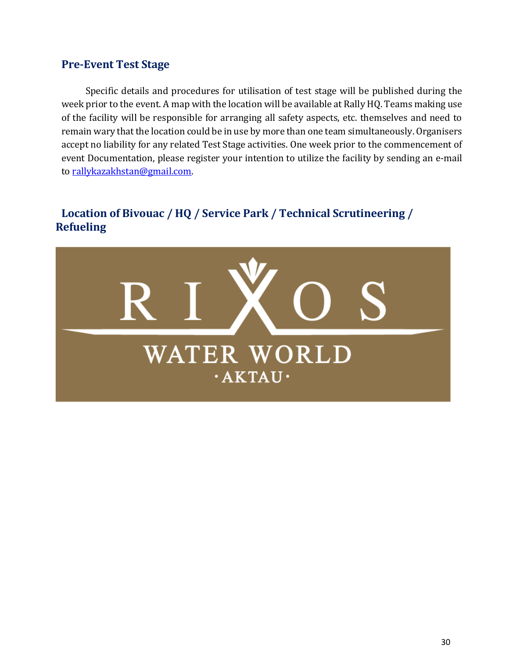## **Pre-Event Test Stage**

Specific details and procedures for utilisation of test stage will be published during the week prior to the event. A map with the location will be available at Rally HQ. Teams making use of the facility will be responsible for arranging all safety aspects, etc. themselves and need to remain wary that the location could be in use by more than one team simultaneously. Organisers accept no liability for any related Test Stage activities. One week prior to the commencement of event Documentation, please register your intention to utilize the facility by sending an e-mail to [rallykazakhstan@gmail.com.](mailto:rallykazakhstan@gmail.com)

# **Location of Bivouac / HQ / Service Park / Technical Scrutineering / Refueling**

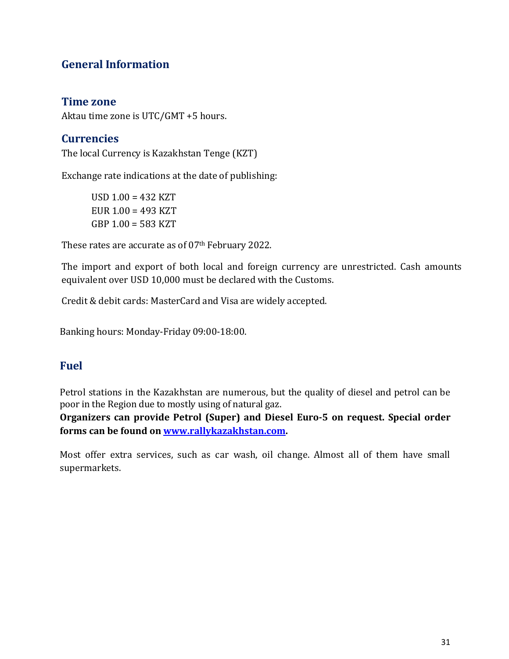# **General Information**

## **Time zone**

Aktau time zone is UTC/GMT +5 hours.

# **Currencies**

The local Currency is Kazakhstan Tenge (KZT)

Exchange rate indications at the date of publishing:

USD 1.00 = 432 KZT EUR  $1.00 = 493$  KZT GBP 1.00 = 583 KZT

These rates are accurate as of 07th February 2022.

The import and export of both local and foreign currency are unrestricted. Cash amounts equivalent over USD 10,000 must be declared with the Customs.

Credit & debit cards: MasterCard and Visa are widely accepted.

Banking hours: Monday-Friday 09:00-18:00.

## **Fuel**

Petrol stations in the Kazakhstan are numerous, but the quality of diesel and petrol can be poor in the Region due to mostly using of natural gaz.

**Organizers can provide Petrol (Super) and Diesel Euro-5 on request. Special order forms can be found on [www.rallykazakhstan.com.](http://www.rallykazakhstan.com/)**

Most offer extra services, such as car wash, oil change. Almost all of them have small supermarkets.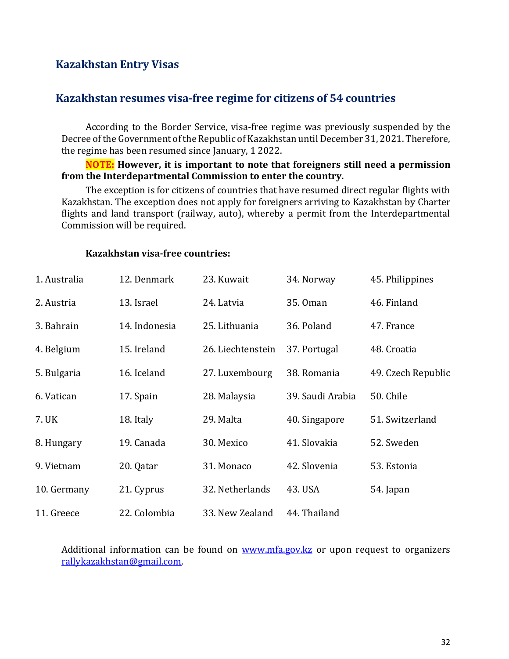## **Kazakhstan Entry Visas**

## **Kazakhstan resumes visa-free regime for citizens of 54 countries**

According to the Border Service, visa-free regime was previously suspended by the Decree of the Government of the Republic of Kazakhstan until December 31, 2021. Therefore, the regime has been resumed since January, 1 2022.

#### **NOTE: However, it is important to note that foreigners still need a permission from the Interdepartmental Commission to enter the country.**

The exception is for citizens of countries that have resumed direct regular flights with Kazakhstan. The exception does not apply for foreigners arriving to Kazakhstan by Charter flights and land transport (railway, auto), whereby a permit from the Interdepartmental Commission will be required.

| 1. Australia | 12. Denmark   | 23. Kuwait        | 34. Norway       | 45. Philippines    |
|--------------|---------------|-------------------|------------------|--------------------|
| 2. Austria   | 13. Israel    | 24. Latvia        | 35.0 man         | 46. Finland        |
| 3. Bahrain   | 14. Indonesia | 25. Lithuania     | 36. Poland       | 47. France         |
| 4. Belgium   | 15. Ireland   | 26. Liechtenstein | 37. Portugal     | 48. Croatia        |
| 5. Bulgaria  | 16. Iceland   | 27. Luxembourg    | 38. Romania      | 49. Czech Republic |
| 6. Vatican   | 17. Spain     | 28. Malaysia      | 39. Saudi Arabia | 50. Chile          |
| 7. UK        | 18. Italy     | 29. Malta         | 40. Singapore    | 51. Switzerland    |
| 8. Hungary   | 19. Canada    | 30. Mexico        | 41. Slovakia     | 52. Sweden         |
| 9. Vietnam   | 20. Qatar     | 31. Monaco        | 42. Slovenia     | 53. Estonia        |
| 10. Germany  | 21. Cyprus    | 32. Netherlands   | 43. USA          | 54. Japan          |
| 11. Greece   | 22. Colombia  | 33. New Zealand   | 44. Thailand     |                    |

#### **Kazakhstan visa-free countries:**

Additional information can be found on [www.mfa.gov.kz](http://www.mfa.gov.kz/) or upon request to organizers [rallykazakhstan@gmail.com.](mailto:rallykazakhstan@gmail.com)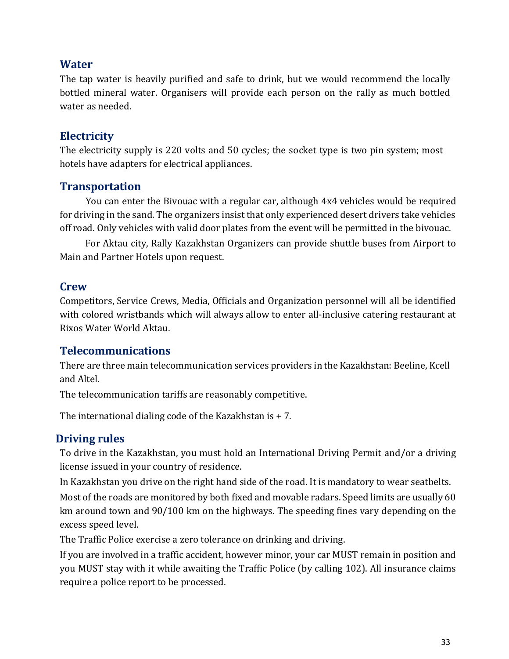# **Water**

The tap water is heavily purified and safe to drink, but we would recommend the locally bottled mineral water. Organisers will provide each person on the rally as much bottled water as needed.

## **Electricity**

The electricity supply is 220 volts and 50 cycles; the socket type is two pin system; most hotels have adapters for electrical appliances.

## **Transportation**

You can enter the Bivouac with a regular car, although 4x4 vehicles would be required for driving in the sand. The organizers insist that only experienced desert drivers take vehicles off road. Only vehicles with valid door plates from the event will be permitted in the bivouac.

For Aktau city, Rally Kazakhstan Organizers can provide shuttle buses from Airport to Main and Partner Hotels upon request.

## **Crew**

Competitors, Service Crews, Media, Officials and Organization personnel will all be identified with colored wristbands which will always allow to enter all-inclusive catering restaurant at Rixos Water World Aktau.

## **Telecommunications**

There are three main telecommunication services providers in the Kazakhstan: Beeline, Kcell and Altel.

The telecommunication tariffs are reasonably competitive.

The international dialing code of the Kazakhstan is + 7.

## **Driving rules**

To drive in the Kazakhstan, you must hold an International Driving Permit and/or a driving license issued in your country of residence.

In Kazakhstan you drive on the right hand side of the road. It is mandatory to wear seatbelts.

Most of the roads are monitored by both fixed and movable radars. Speed limits are usually 60 km around town and 90/100 km on the highways. The speeding fines vary depending on the excess speed level.

The Traffic Police exercise a zero tolerance on drinking and driving.

If you are involved in a traffic accident, however minor, your car MUST remain in position and you MUST stay with it while awaiting the Traffic Police (by calling 102). All insurance claims require a police report to be processed.